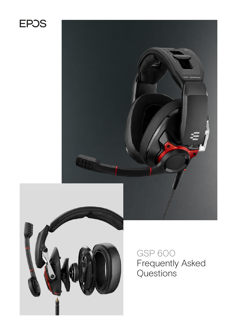# **EPOS**





## GSP 600 Frequently Asked Questions